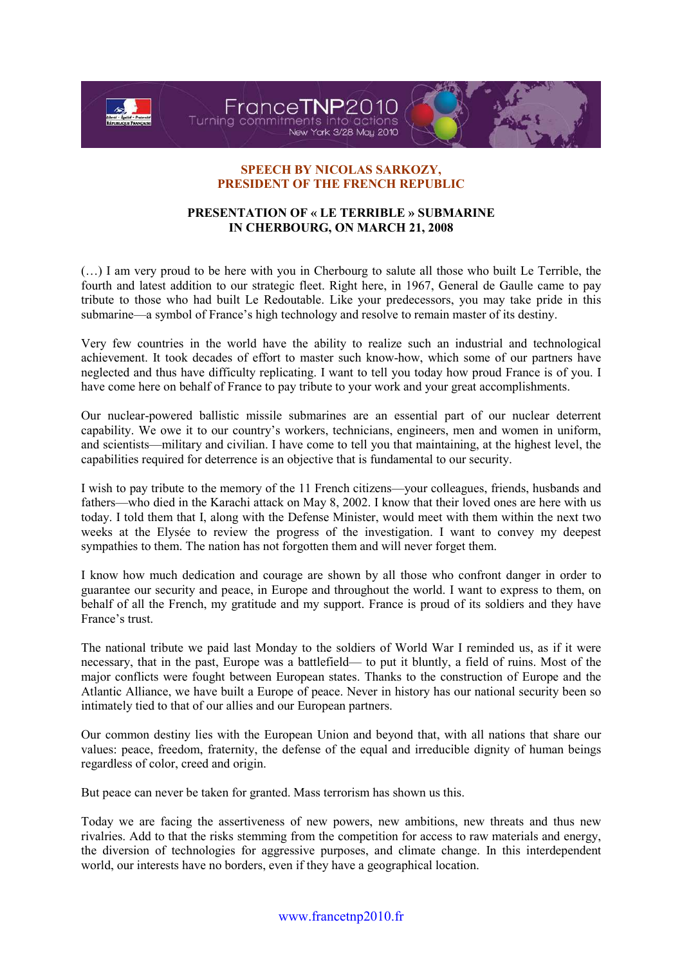

## SPEECH BY NICOLAS SARKOZY, PRESIDENT OF THE FRENCH REPUBLIC

## PRESENTATION OF « LE TERRIBLE » SUBMARINE IN CHERBOURG, ON MARCH 21, 2008

(…) I am very proud to be here with you in Cherbourg to salute all those who built Le Terrible, the fourth and latest addition to our strategic fleet. Right here, in 1967, General de Gaulle came to pay tribute to those who had built Le Redoutable. Like your predecessors, you may take pride in this submarine—a symbol of France's high technology and resolve to remain master of its destiny.

Very few countries in the world have the ability to realize such an industrial and technological achievement. It took decades of effort to master such know-how, which some of our partners have neglected and thus have difficulty replicating. I want to tell you today how proud France is of you. I have come here on behalf of France to pay tribute to your work and your great accomplishments.

Our nuclear-powered ballistic missile submarines are an essential part of our nuclear deterrent capability. We owe it to our country's workers, technicians, engineers, men and women in uniform, and scientists—military and civilian. I have come to tell you that maintaining, at the highest level, the capabilities required for deterrence is an objective that is fundamental to our security.

I wish to pay tribute to the memory of the 11 French citizens—your colleagues, friends, husbands and fathers—who died in the Karachi attack on May 8, 2002. I know that their loved ones are here with us today. I told them that I, along with the Defense Minister, would meet with them within the next two weeks at the Elysée to review the progress of the investigation. I want to convey my deepest sympathies to them. The nation has not forgotten them and will never forget them.

I know how much dedication and courage are shown by all those who confront danger in order to guarantee our security and peace, in Europe and throughout the world. I want to express to them, on behalf of all the French, my gratitude and my support. France is proud of its soldiers and they have France's trust.

The national tribute we paid last Monday to the soldiers of World War I reminded us, as if it were necessary, that in the past, Europe was a battlefield— to put it bluntly, a field of ruins. Most of the major conflicts were fought between European states. Thanks to the construction of Europe and the Atlantic Alliance, we have built a Europe of peace. Never in history has our national security been so intimately tied to that of our allies and our European partners.

Our common destiny lies with the European Union and beyond that, with all nations that share our values: peace, freedom, fraternity, the defense of the equal and irreducible dignity of human beings regardless of color, creed and origin.

But peace can never be taken for granted. Mass terrorism has shown us this.

Today we are facing the assertiveness of new powers, new ambitions, new threats and thus new rivalries. Add to that the risks stemming from the competition for access to raw materials and energy, the diversion of technologies for aggressive purposes, and climate change. In this interdependent world, our interests have no borders, even if they have a geographical location.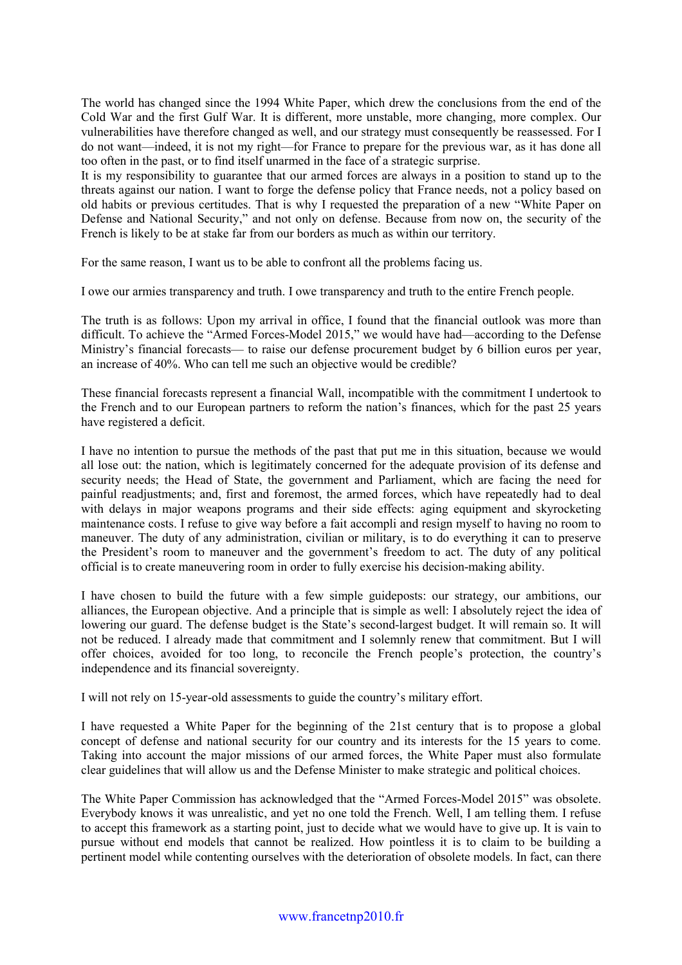The world has changed since the 1994 White Paper, which drew the conclusions from the end of the Cold War and the first Gulf War. It is different, more unstable, more changing, more complex. Our vulnerabilities have therefore changed as well, and our strategy must consequently be reassessed. For I do not want—indeed, it is not my right—for France to prepare for the previous war, as it has done all too often in the past, or to find itself unarmed in the face of a strategic surprise.

It is my responsibility to guarantee that our armed forces are always in a position to stand up to the threats against our nation. I want to forge the defense policy that France needs, not a policy based on old habits or previous certitudes. That is why I requested the preparation of a new "White Paper on Defense and National Security," and not only on defense. Because from now on, the security of the French is likely to be at stake far from our borders as much as within our territory.

For the same reason, I want us to be able to confront all the problems facing us.

I owe our armies transparency and truth. I owe transparency and truth to the entire French people.

The truth is as follows: Upon my arrival in office, I found that the financial outlook was more than difficult. To achieve the "Armed Forces-Model 2015," we would have had—according to the Defense Ministry's financial forecasts— to raise our defense procurement budget by 6 billion euros per year, an increase of 40%. Who can tell me such an objective would be credible?

These financial forecasts represent a financial Wall, incompatible with the commitment I undertook to the French and to our European partners to reform the nation's finances, which for the past 25 years have registered a deficit.

I have no intention to pursue the methods of the past that put me in this situation, because we would all lose out: the nation, which is legitimately concerned for the adequate provision of its defense and security needs; the Head of State, the government and Parliament, which are facing the need for painful readjustments; and, first and foremost, the armed forces, which have repeatedly had to deal with delays in major weapons programs and their side effects: aging equipment and skyrocketing maintenance costs. I refuse to give way before a fait accompli and resign myself to having no room to maneuver. The duty of any administration, civilian or military, is to do everything it can to preserve the President's room to maneuver and the government's freedom to act. The duty of any political official is to create maneuvering room in order to fully exercise his decision-making ability.

I have chosen to build the future with a few simple guideposts: our strategy, our ambitions, our alliances, the European objective. And a principle that is simple as well: I absolutely reject the idea of lowering our guard. The defense budget is the State's second-largest budget. It will remain so. It will not be reduced. I already made that commitment and I solemnly renew that commitment. But I will offer choices, avoided for too long, to reconcile the French people's protection, the country's independence and its financial sovereignty.

I will not rely on 15-year-old assessments to guide the country's military effort.

I have requested a White Paper for the beginning of the 21st century that is to propose a global concept of defense and national security for our country and its interests for the 15 years to come. Taking into account the major missions of our armed forces, the White Paper must also formulate clear guidelines that will allow us and the Defense Minister to make strategic and political choices.

The White Paper Commission has acknowledged that the "Armed Forces-Model 2015" was obsolete. Everybody knows it was unrealistic, and yet no one told the French. Well, I am telling them. I refuse to accept this framework as a starting point, just to decide what we would have to give up. It is vain to pursue without end models that cannot be realized. How pointless it is to claim to be building a pertinent model while contenting ourselves with the deterioration of obsolete models. In fact, can there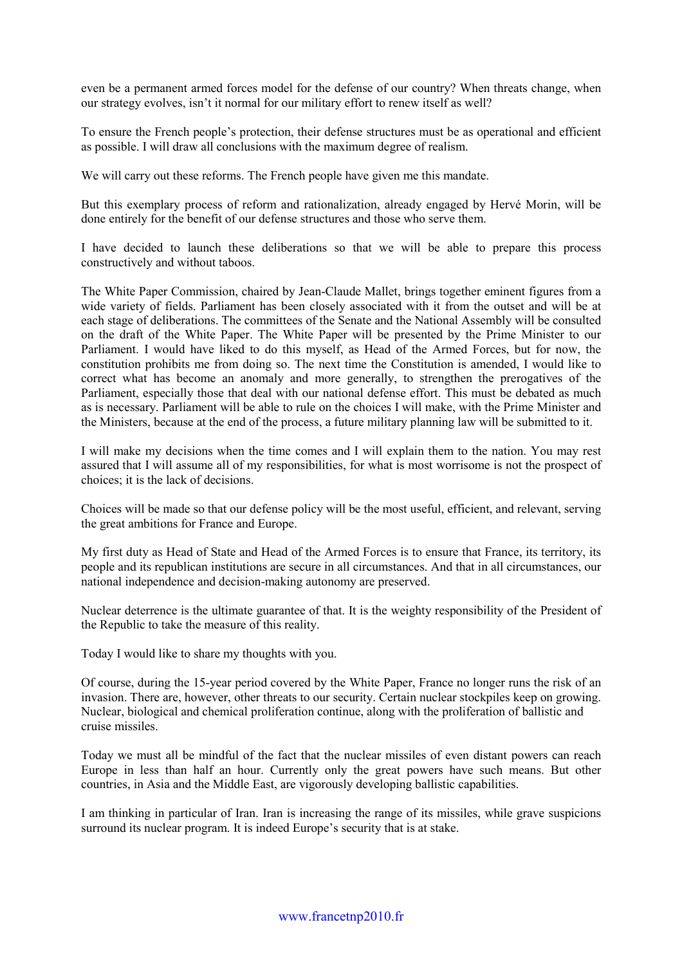even be a permanent armed forces model for the defense of our country? When threats change, when our strategy evolves, isn't it normal for our military effort to renew itself as well?

To ensure the French people's protection, their defense structures must be as operational and efficient as possible. I will draw all conclusions with the maximum degree of realism.

We will carry out these reforms. The French people have given me this mandate.

But this exemplary process of reform and rationalization, already engaged by Hervé Morin, will be done entirely for the benefit of our defense structures and those who serve them.

I have decided to launch these deliberations so that we will be able to prepare this process constructively and without taboos.

The White Paper Commission, chaired by Jean-Claude Mallet, brings together eminent figures from a wide variety of fields. Parliament has been closely associated with it from the outset and will be at each stage of deliberations. The committees of the Senate and the National Assembly will be consulted on the draft of the White Paper. The White Paper will be presented by the Prime Minister to our Parliament. I would have liked to do this myself, as Head of the Armed Forces, but for now, the constitution prohibits me from doing so. The next time the Constitution is amended, I would like to correct what has become an anomaly and more generally, to strengthen the prerogatives of the Parliament, especially those that deal with our national defense effort. This must be debated as much as is necessary. Parliament will be able to rule on the choices I will make, with the Prime Minister and the Ministers, because at the end of the process, a future military planning law will be submitted to it.

I will make my decisions when the time comes and I will explain them to the nation. You may rest assured that I will assume all of my responsibilities, for what is most worrisome is not the prospect of choices; it is the lack of decisions.

Choices will be made so that our defense policy will be the most useful, efficient, and relevant, serving the great ambitions for France and Europe.

My first duty as Head of State and Head of the Armed Forces is to ensure that France, its territory, its people and its republican institutions are secure in all circumstances. And that in all circumstances, our national independence and decision-making autonomy are preserved.

Nuclear deterrence is the ultimate guarantee of that. It is the weighty responsibility of the President of the Republic to take the measure of this reality.

Today I would like to share my thoughts with you.

Of course, during the 15-year period covered by the White Paper, France no longer runs the risk of an invasion. There are, however, other threats to our security. Certain nuclear stockpiles keep on growing. Nuclear, biological and chemical proliferation continue, along with the proliferation of ballistic and cruise missiles.

Today we must all be mindful of the fact that the nuclear missiles of even distant powers can reach Europe in less than half an hour. Currently only the great powers have such means. But other countries, in Asia and the Middle East, are vigorously developing ballistic capabilities.

I am thinking in particular of Iran. Iran is increasing the range of its missiles, while grave suspicions surround its nuclear program. It is indeed Europe's security that is at stake.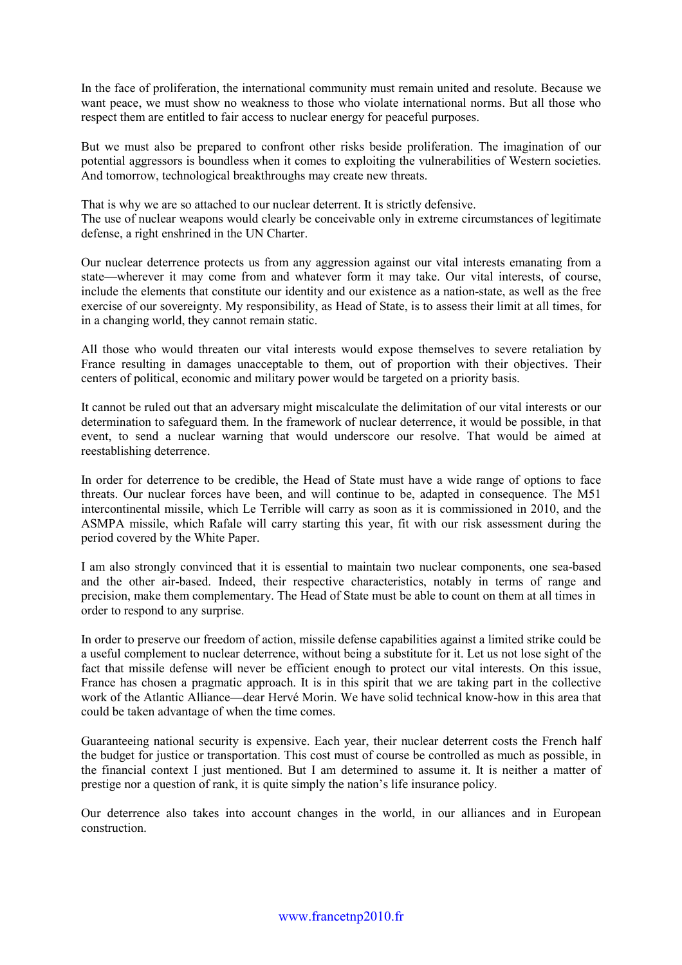In the face of proliferation, the international community must remain united and resolute. Because we want peace, we must show no weakness to those who violate international norms. But all those who respect them are entitled to fair access to nuclear energy for peaceful purposes.

But we must also be prepared to confront other risks beside proliferation. The imagination of our potential aggressors is boundless when it comes to exploiting the vulnerabilities of Western societies. And tomorrow, technological breakthroughs may create new threats.

That is why we are so attached to our nuclear deterrent. It is strictly defensive. The use of nuclear weapons would clearly be conceivable only in extreme circumstances of legitimate defense, a right enshrined in the UN Charter.

Our nuclear deterrence protects us from any aggression against our vital interests emanating from a state—wherever it may come from and whatever form it may take. Our vital interests, of course, include the elements that constitute our identity and our existence as a nation-state, as well as the free exercise of our sovereignty. My responsibility, as Head of State, is to assess their limit at all times, for in a changing world, they cannot remain static.

All those who would threaten our vital interests would expose themselves to severe retaliation by France resulting in damages unacceptable to them, out of proportion with their objectives. Their centers of political, economic and military power would be targeted on a priority basis.

It cannot be ruled out that an adversary might miscalculate the delimitation of our vital interests or our determination to safeguard them. In the framework of nuclear deterrence, it would be possible, in that event, to send a nuclear warning that would underscore our resolve. That would be aimed at reestablishing deterrence.

In order for deterrence to be credible, the Head of State must have a wide range of options to face threats. Our nuclear forces have been, and will continue to be, adapted in consequence. The M51 intercontinental missile, which Le Terrible will carry as soon as it is commissioned in 2010, and the ASMPA missile, which Rafale will carry starting this year, fit with our risk assessment during the period covered by the White Paper.

I am also strongly convinced that it is essential to maintain two nuclear components, one sea-based and the other air-based. Indeed, their respective characteristics, notably in terms of range and precision, make them complementary. The Head of State must be able to count on them at all times in order to respond to any surprise.

In order to preserve our freedom of action, missile defense capabilities against a limited strike could be a useful complement to nuclear deterrence, without being a substitute for it. Let us not lose sight of the fact that missile defense will never be efficient enough to protect our vital interests. On this issue, France has chosen a pragmatic approach. It is in this spirit that we are taking part in the collective work of the Atlantic Alliance—dear Hervé Morin. We have solid technical know-how in this area that could be taken advantage of when the time comes.

Guaranteeing national security is expensive. Each year, their nuclear deterrent costs the French half the budget for justice or transportation. This cost must of course be controlled as much as possible, in the financial context I just mentioned. But I am determined to assume it. It is neither a matter of prestige nor a question of rank, it is quite simply the nation's life insurance policy.

Our deterrence also takes into account changes in the world, in our alliances and in European construction.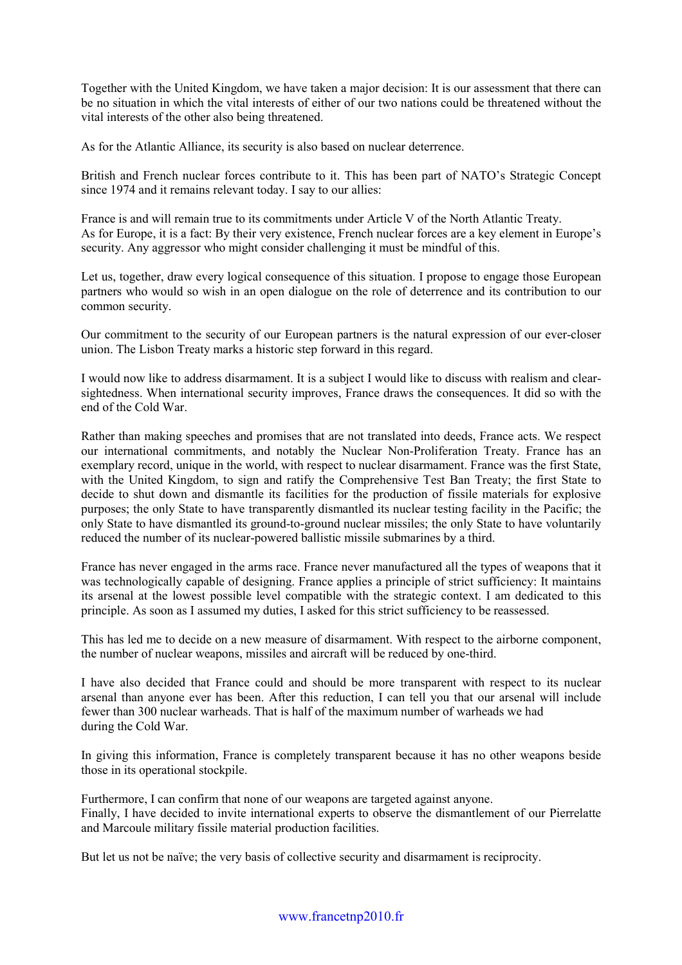Together with the United Kingdom, we have taken a major decision: It is our assessment that there can be no situation in which the vital interests of either of our two nations could be threatened without the vital interests of the other also being threatened.

As for the Atlantic Alliance, its security is also based on nuclear deterrence.

British and French nuclear forces contribute to it. This has been part of NATO's Strategic Concept since 1974 and it remains relevant today. I say to our allies:

France is and will remain true to its commitments under Article V of the North Atlantic Treaty. As for Europe, it is a fact: By their very existence, French nuclear forces are a key element in Europe's security. Any aggressor who might consider challenging it must be mindful of this.

Let us, together, draw every logical consequence of this situation. I propose to engage those European partners who would so wish in an open dialogue on the role of deterrence and its contribution to our common security.

Our commitment to the security of our European partners is the natural expression of our ever-closer union. The Lisbon Treaty marks a historic step forward in this regard.

I would now like to address disarmament. It is a subject I would like to discuss with realism and clearsightedness. When international security improves, France draws the consequences. It did so with the end of the Cold War.

Rather than making speeches and promises that are not translated into deeds, France acts. We respect our international commitments, and notably the Nuclear Non-Proliferation Treaty. France has an exemplary record, unique in the world, with respect to nuclear disarmament. France was the first State, with the United Kingdom, to sign and ratify the Comprehensive Test Ban Treaty; the first State to decide to shut down and dismantle its facilities for the production of fissile materials for explosive purposes; the only State to have transparently dismantled its nuclear testing facility in the Pacific; the only State to have dismantled its ground-to-ground nuclear missiles; the only State to have voluntarily reduced the number of its nuclear-powered ballistic missile submarines by a third.

France has never engaged in the arms race. France never manufactured all the types of weapons that it was technologically capable of designing. France applies a principle of strict sufficiency: It maintains its arsenal at the lowest possible level compatible with the strategic context. I am dedicated to this principle. As soon as I assumed my duties, I asked for this strict sufficiency to be reassessed.

This has led me to decide on a new measure of disarmament. With respect to the airborne component, the number of nuclear weapons, missiles and aircraft will be reduced by one-third.

I have also decided that France could and should be more transparent with respect to its nuclear arsenal than anyone ever has been. After this reduction, I can tell you that our arsenal will include fewer than 300 nuclear warheads. That is half of the maximum number of warheads we had during the Cold War.

In giving this information, France is completely transparent because it has no other weapons beside those in its operational stockpile.

Furthermore, I can confirm that none of our weapons are targeted against anyone. Finally, I have decided to invite international experts to observe the dismantlement of our Pierrelatte and Marcoule military fissile material production facilities.

But let us not be naïve; the very basis of collective security and disarmament is reciprocity.